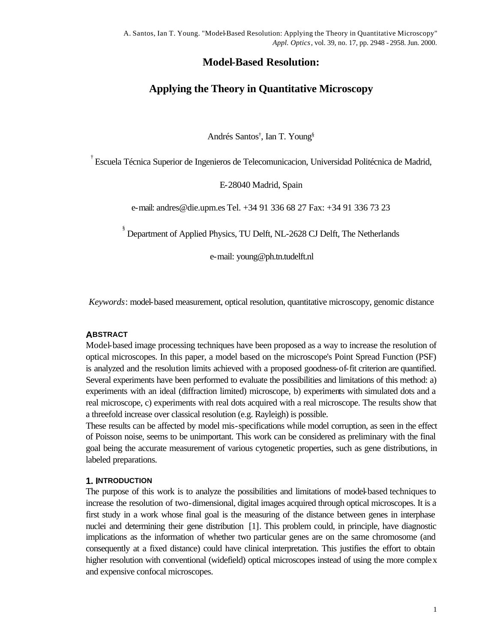# **Model-Based Resolution:**

# **Applying the Theory in Quantitative Microscopy**

Andrés Santos† , Ian T. Young§

† Escuela Técnica Superior de Ingenieros de Telecomunicacion, Universidad Politécnica de Madrid,

E-28040 Madrid, Spain

e-mail: andres@die.upm.es Tel. +34 91 336 68 27 Fax: +34 91 336 73 23

§ Department of Applied Physics, TU Delft, NL-2628 CJ Delft, The Netherlands

e-mail: young@ph.tn.tudelft.nl

*Keywords*: model-based measurement, optical resolution, quantitative microscopy, genomic distance

#### **ABSTRACT**

Model-based image processing techniques have been proposed as a way to increase the resolution of optical microscopes. In this paper, a model based on the microscope's Point Spread Function (PSF) is analyzed and the resolution limits achieved with a proposed goodness-of-fit criterion are quantified. Several experiments have been performed to evaluate the possibilities and limitations of this method: a) experiments with an ideal (diffraction limited) microscope, b) experiments with simulated dots and a real microscope, c) experiments with real dots acquired with a real microscope. The results show that a threefold increase over classical resolution (e.g. Rayleigh) is possible.

These results can be affected by model mis-specifications while model corruption, as seen in the effect of Poisson noise, seems to be unimportant. This work can be considered as preliminary with the final goal being the accurate measurement of various cytogenetic properties, such as gene distributions, in labeled preparations.

#### **1. INTRODUCTION**

The purpose of this work is to analyze the possibilities and limitations of model-based techniques to increase the resolution of two-dimensional, digital images acquired through optical microscopes. It is a first study in a work whose final goal is the measuring of the distance between genes in interphase nuclei and determining their gene distribution [1]. This problem could, in principle, have diagnostic implications as the information of whether two particular genes are on the same chromosome (and consequently at a fixed distance) could have clinical interpretation. This justifies the effort to obtain higher resolution with conventional (widefield) optical microscopes instead of using the more complex and expensive confocal microscopes.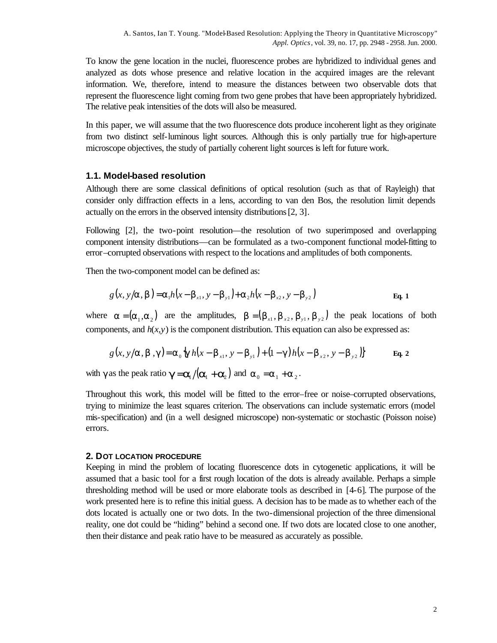To know the gene location in the nuclei, fluorescence probes are hybridized to individual genes and analyzed as dots whose presence and relative location in the acquired images are the relevant information. We, therefore, intend to measure the distances between two observable dots that represent the fluorescence light coming from two gene probes that have been appropriately hybridized. The relative peak intensities of the dots will also be measured.

In this paper, we will assume that the two fluorescence dots produce incoherent light as they originate from two distinct self-luminous light sources. Although this is only partially true for high-aperture microscope objectives, the study of partially coherent light sources is left for future work.

### **1.1. Model-based resolution**

Although there are some classical definitions of optical resolution (such as that of Rayleigh) that consider only diffraction effects in a lens, according to van den Bos, the resolution limit depends actually on the errors in the observed intensity distributions [2, 3].

Following [2], the two-point resolution—the resolution of two superimposed and overlapping component intensity distributions—can be formulated as a two-component functional model-fitting to error–corrupted observations with respect to the locations and amplitudes of both components.

Then the two-component model can be defined as:

$$
g(x, y/a, b) = a_1 h(x - b_{x1}, y - b_{y1}) + a_2 h(x - b_{x2}, y - b_{y2})
$$
 Eq. 1

where  $\mathbf{a} = (\mathbf{a}_1, \mathbf{a}_2)$  are the amplitudes,  $\mathbf{b} = (\mathbf{b}_{x_1}, \mathbf{b}_{x_2}, \mathbf{b}_{y_1}, \mathbf{b}_{y_2})$  the peak locations of both components, and  $h(x, y)$  is the component distribution. This equation can also be expressed as:

$$
g(x, y/a, b, g) = a_0 \frac{1}{2} g h(x - b_{x1}, y - b_{y1}) + (1 - g) h(x - b_{x2}, y - b_{y2})
$$
 Eq. 2

with  $\gamma$  as the peak ratio  $g = a_1 / (a_1 + a_2)$  and  $a_0 = a_1 + a_2$ .

Throughout this work, this model will be fitted to the error–free or noise–corrupted observations, trying to minimize the least squares criterion. The observations can include systematic errors (model mis-specification) and (in a well designed microscope) non-systematic or stochastic (Poisson noise) errors.

#### **2. DOT LOCATION PROCEDURE**

Keeping in mind the problem of locating fluorescence dots in cytogenetic applications, it will be assumed that a basic tool for a first rough location of the dots is already available. Perhaps a simple thresholding method will be used or more elaborate tools as described in [4-6]. The purpose of the work presented here is to refine this initial guess. A decision has to be made as to whether each of the dots located is actually one or two dots. In the two-dimensional projection of the three dimensional reality, one dot could be "hiding" behind a second one. If two dots are located close to one another, then their distance and peak ratio have to be measured as accurately as possible.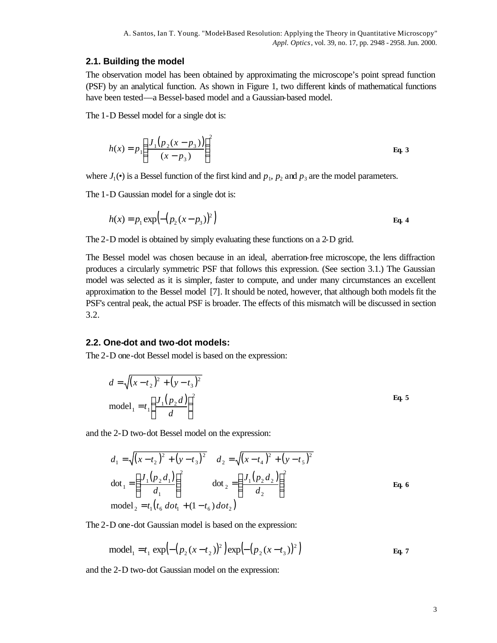#### **2.1. Building the model**

The observation model has been obtained by approximating the microscope's point spread function (PSF) by an analytical function. As shown in Figure 1, two different kinds of mathematical functions have been tested—a Bessel-based model and a Gaussian-based model.

The 1-D Bessel model for a single dot is:

$$
h(x) = p_1 \left( \frac{J_1 (p_2 (x - p_3))}{(x - p_3)} \right)^2
$$
 Eq. 3

where  $J_1(\bullet)$  is a Bessel function of the first kind and  $p_1$ ,  $p_2$  and  $p_3$  are the model parameters.

The 1-D Gaussian model for a single dot is:

$$
h(x) = p_1 \exp\left(-\left(p_2(x - p_3)\right)^2\right)
$$
 Eq. 4

The 2-D model is obtained by simply evaluating these functions on a 2-D grid.

The Bessel model was chosen because in an ideal, aberration-free microscope, the lens diffraction produces a circularly symmetric PSF that follows this expression. (See section 3.1.) The Gaussian model was selected as it is simpler, faster to compute, and under many circumstances an excellent approximation to the Bessel model [7]. It should be noted, however, that although both models fit the PSF's central peak, the actual PSF is broader. The effects of this mismatch will be discussed in section 3.2.

#### **2.2. One-dot and two-dot models:**

The 2-D one-dot Bessel model is based on the expression:

$$
d = \sqrt{(x - t_2)^2 + (y - t_3)^2}
$$
  
model<sub>1</sub> = t<sub>1</sub>  $\left(\frac{J_1(p_2 d)}{d}\right)^2$  Eq. 5

and the 2-D two-dot Bessel model on the expression:

$$
d_1 = \sqrt{(x - t_2)^2 + (y - t_3)^2} \qquad d_2 = \sqrt{(x - t_4)^2 + (y - t_5)^2}
$$
  
\n
$$
d_1 = \left(\frac{J_1(p_2 d_1)}{d_1}\right)^2 \qquad \text{dot}_2 = \left(\frac{J_1(p_2 d_2)}{d_2}\right)^2
$$
  
\n
$$
d_2 = \left(\frac{J_1(p_2 d_2)}{d_2}\right)^2 \qquad \text{Eq. 6}
$$
  
\n
$$
d_2 = \left(\frac{J_1(p_2 d_2)}{d_2}\right)^2
$$

The 2-D one-dot Gaussian model is based on the expression:

model<sub>1</sub> = 
$$
t_1 \exp\left(-\left(p_2(x - t_2)\right)^2\right) \exp\left(-\left(p_2(x - t_3)\right)^2\right)
$$
 Eq. 7

and the 2-D two-dot Gaussian model on the expression: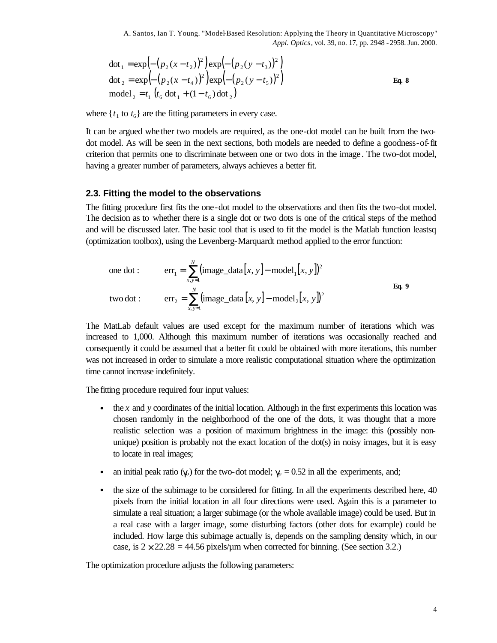dot<sub>1</sub> = exp
$$
\left(-\left(p_2(x - t_2)\right)^2\right)
$$
exp $\left(-\left(p_2(y - t_3)\right)^2\right)$   
\ndot<sub>2</sub> = exp $\left(-\left(p_2(x - t_4)\right)^2\right)$ exp $\left(-\left(p_2(y - t_5)\right)^2\right)$ Eq. 8  
\nmodel<sub>2</sub> = t<sub>1</sub>  $\left(t_6 \text{ dot}_1 + (1 - t_6) \text{ dot}_2\right)$ 

where  $\{t_1$  to  $t_6\}$  are the fitting parameters in every case.

It can be argued whether two models are required, as the one-dot model can be built from the twodot model. As will be seen in the next sections, both models are needed to define a goodness-of-fit criterion that permits one to discriminate between one or two dots in the image. The two-dot model, having a greater number of parameters, always achieves a better fit.

### **2.3. Fitting the model to the observations**

The fitting procedure first fits the one-dot model to the observations and then fits the two-dot model. The decision as to whether there is a single dot or two dots is one of the critical steps of the method and will be discussed later. The basic tool that is used to fit the model is the Matlab function leastsq (optimization toolbox), using the Levenberg-Marquardt method applied to the error function:

one dot: 
$$
\text{err}_1 = \sum_{x,y=1}^{N} (\text{image\_data}[x, y] - \text{model}_1[x, y])^2
$$
  
\ntwo dot:  $\text{err}_2 = \sum_{x,y=1}^{N} (\text{image\_data}[x, y] - \text{model}_2[x, y])^2$ Eq. 9

The MatLab default values are used except for the maximum number of iterations which was increased to 1,000. Although this maximum number of iterations was occasionally reached and consequently it could be assumed that a better fit could be obtained with more iterations, this number was not increased in order to simulate a more realistic computational situation where the optimization time cannot increase indefinitely.

The fitting procedure required four input values:

- the *x* and *y* coordinates of the initial location. Although in the first experiments this location was chosen randomly in the neighborhood of the one of the dots, it was thought that a more realistic selection was a position of maximum brightness in the image: this (possibly nonunique) position is probably not the exact location of the dot(s) in noisy images, but it is easy to locate in real images;
- an initial peak ratio ( $\mathbf{g}_0$ ) for the two-dot model;  $\gamma_0 = 0.52$  in all the experiments, and;
- the size of the subimage to be considered for fitting. In all the experiments described here, 40 pixels from the initial location in all four directions were used. Again this is a parameter to simulate a real situation; a larger subimage (or the whole available image) could be used. But in a real case with a larger image, some disturbing factors (other dots for example) could be included. How large this subimage actually is, depends on the sampling density which, in our case, is  $2 \times 22.28 = 44.56$  pixels/um when corrected for binning. (See section 3.2.)

The optimization procedure adjusts the following parameters: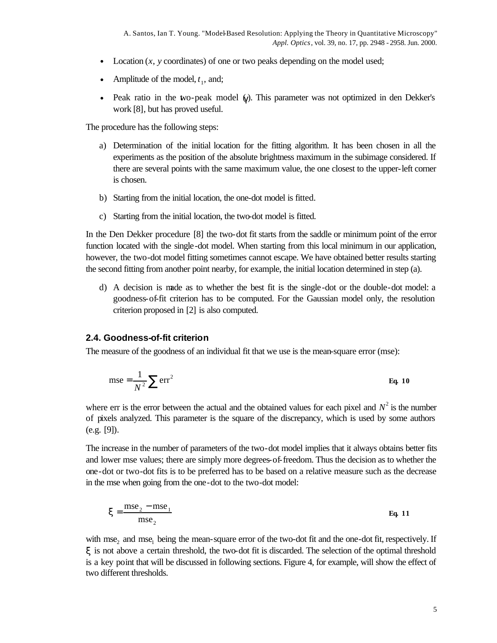- Location (*x*, *y* coordinates) of one or two peaks depending on the model used;
- Amplitude of the model,  $t_1$ , and;
- Peak ratio in the two-peak model (*g*). This parameter was not optimized in den Dekker's work [8], but has proved useful.

The procedure has the following steps:

- a) Determination of the initial location for the fitting algorithm. It has been chosen in all the experiments as the position of the absolute brightness maximum in the subimage considered. If there are several points with the same maximum value, the one closest to the upper-left corner is chosen.
- b) Starting from the initial location, the one-dot model is fitted.
- c) Starting from the initial location, the two-dot model is fitted.

In the Den Dekker procedure [8] the two-dot fit starts from the saddle or minimum point of the error function located with the single-dot model. When starting from this local minimum in our application, however, the two-dot model fitting sometimes cannot escape. We have obtained better results starting the second fitting from another point nearby, for example, the initial location determined in step (a).

d) A decision is made as to whether the best fit is the single-dot or the double-dot model: a goodness-of-fit criterion has to be computed. For the Gaussian model only, the resolution criterion proposed in [2] is also computed.

#### **2.4. Goodness-of-fit criterion**

The measure of the goodness of an individual fit that we use is the mean-square error (mse):

$$
mse = \frac{1}{N^2} \sum err^2
$$
 Eq. 10

where err is the error between the actual and the obtained values for each pixel and  $N^2$  is the number of pixels analyzed. This parameter is the square of the discrepancy, which is used by some authors (e.g. [9]).

The increase in the number of parameters of the two-dot model implies that it always obtains better fits and lower mse values; there are simply more degrees-of-freedom. Thus the decision as to whether the one-dot or two-dot fits is to be preferred has to be based on a relative measure such as the decrease in the mse when going from the one-dot to the two-dot model:

$$
x = \frac{\text{mse}_2 - \text{mse}_1}{\text{mse}_2}
$$
 Eq. 11

with  $mse_2$  and  $mse_1$  being the mean-square error of the two-dot fit and the one-dot fit, respectively. If *x* is not above a certain threshold, the two-dot fit is discarded. The selection of the optimal threshold is a key point that will be discussed in following sections. Figure 4, for example, will show the effect of two different thresholds.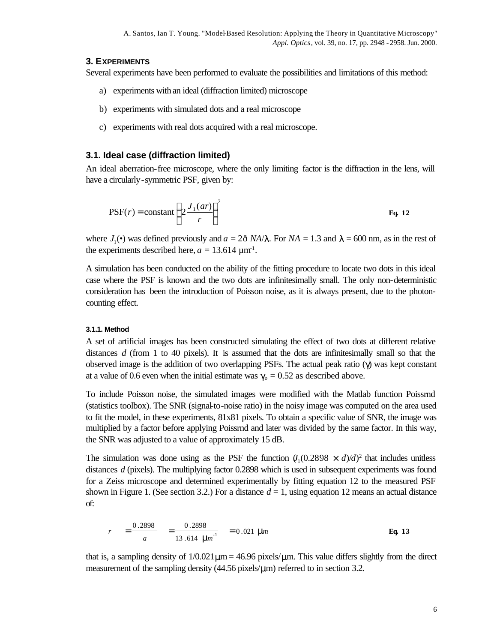#### **3. EXPERIMENTS**

Several experiments have been performed to evaluate the possibilities and limitations of this method:

- a) experiments with an ideal (diffraction limited) microscope
- b) experiments with simulated dots and a real microscope
- c) experiments with real dots acquired with a real microscope.

### **3.1. Ideal case (diffraction limited)**

An ideal aberration-free microscope, where the only limiting factor is the diffraction in the lens, will have a circularly-symmetric PSF, given by:

$$
PSF(r) = \text{constant} \left( 2 \frac{J_1(ar)}{r} \right)^2
$$
 Eq. 12

where  $J_1(\bullet)$  was defined previously and  $a = 2\delta$  *NA*/*l*. For *NA* = 1.3 and *l* = 600 nm, as in the rest of the experiments described here,  $a = 13.614 \,\mathrm{\upmu m^1}$ .

A simulation has been conducted on the ability of the fitting procedure to locate two dots in this ideal case where the PSF is known and the two dots are infinitesimally small. The only non-deterministic consideration has been the introduction of Poisson noise, as it is always present, due to the photoncounting effect.

#### **3.1.1. Method**

A set of artificial images has been constructed simulating the effect of two dots at different relative distances *d* (from 1 to 40 pixels). It is assumed that the dots are infinitesimally small so that the observed image is the addition of two overlapping PSFs. The actual peak ratio (γ) was kept constant at a value of 0.6 even when the initial estimate was  $\gamma_o = 0.52$  as described above.

To include Poisson noise, the simulated images were modified with the Matlab function Poissrnd (statistics toolbox). The SNR (signal-to-noise ratio) in the noisy image was computed on the area used to fit the model, in these experiments, 81x81 pixels. To obtain a specific value of SNR, the image was multiplied by a factor before applying Poissrnd and later was divided by the same factor. In this way, the SNR was adjusted to a value of approximately 15 dB.

The simulation was done using as the PSF the function  $\mathcal{V}_1(0.2898 \times d)/d^2$  that includes unitless distances *d* (pixels). The multiplying factor 0.2898 which is used in subsequent experiments was found for a Zeiss microscope and determined experimentally by fitting equation 12 to the measured PSF shown in Figure 1. (See section 3.2.) For a distance  $d = 1$ , using equation 12 means an actual distance of:

$$
r = \frac{0.2898}{a} = \frac{0.2898}{13.614 \text{ }\mu\text{m}^1} = 0.021 \text{ }\mu\text{m}
$$
 Eq. 13

that is, a sampling density of  $1/0.021 \mu m = 46.96$  pixels/ $\mu$ m. This value differs slightly from the direct measurement of the sampling density  $(44.56 \text{ pixels/}\mu\text{m})$  referred to in section 3.2.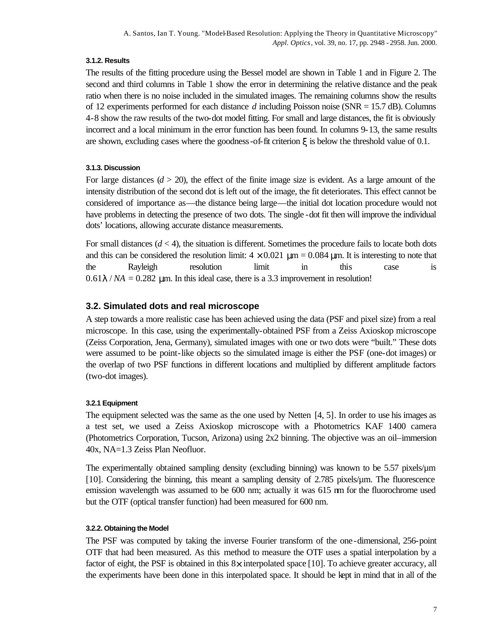### **3.1.2. Results**

The results of the fitting procedure using the Bessel model are shown in Table 1 and in Figure 2. The second and third columns in Table 1 show the error in determining the relative distance and the peak ratio when there is no noise included in the simulated images. The remaining columns show the results of 12 experiments performed for each distance *d* including Poisson noise (SNR = 15.7 dB). Columns 4-8 show the raw results of the two-dot model fitting. For small and large distances, the fit is obviously incorrect and a local minimum in the error function has been found. In columns 9-13, the same results are shown, excluding cases where the goodness-of-fit criterion  $\boldsymbol{\chi}$  is below the threshold value of 0.1.

## **3.1.3. Discussion**

For large distances  $(d > 20)$ , the effect of the finite image size is evident. As a large amount of the intensity distribution of the second dot is left out of the image, the fit deteriorates. This effect cannot be considered of importance as—the distance being large—the initial dot location procedure would not have problems in detecting the presence of two dots. The single -dot fit then will improve the individual dots' locations, allowing accurate distance measurements.

For small distances  $(d < 4)$ , the situation is different. Sometimes the procedure fails to locate both dots and this can be considered the resolution limit:  $4 \times 0.021$  μm = 0.084 μm. It is interesting to note that the Rayleigh resolution limit in this case is  $0.61$  *| / NA* =  $0.282$  µm. In this ideal case, there is a 3.3 improvement in resolution!

# **3.2. Simulated dots and real microscope**

A step towards a more realistic case has been achieved using the data (PSF and pixel size) from a real microscope. In this case, using the experimentally-obtained PSF from a Zeiss Axioskop microscope (Zeiss Corporation, Jena, Germany), simulated images with one or two dots were "built." These dots were assumed to be point-like objects so the simulated image is either the PSF (one-dot images) or the overlap of two PSF functions in different locations and multiplied by different amplitude factors (two-dot images).

## **3.2.1 Equipment**

The equipment selected was the same as the one used by Netten [4, 5]. In order to use his images as a test set, we used a Zeiss Axioskop microscope with a Photometrics KAF 1400 camera (Photometrics Corporation, Tucson, Arizona) using 2x2 binning. The objective was an oil–immersion 40x, NA=1.3 Zeiss Plan Neofluor.

The experimentally obtained sampling density (excluding binning) was known to be 5.57 pixels/µm [10]. Considering the binning, this meant a sampling density of 2.785 pixels/µm. The fluorescence emission wavelength was assumed to be 600 nm; actually it was 615 nm for the fluorochrome used but the OTF (optical transfer function) had been measured for 600 nm.

### **3.2.2. Obtaining the Model**

The PSF was computed by taking the inverse Fourier transform of the one-dimensional, 256-point OTF that had been measured. As this method to measure the OTF uses a spatial interpolation by a factor of eight, the PSF is obtained in this  $8<sub>\times</sub>$  interpolated space [10]. To achieve greater accuracy, all the experiments have been done in this interpolated space. It should be kept in mind that in all of the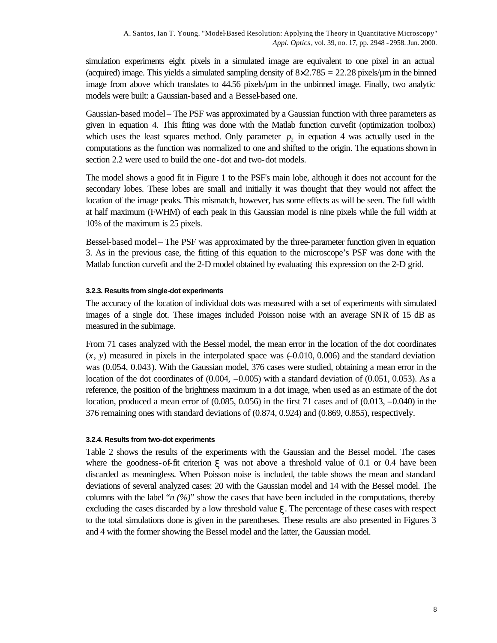simulation experiments eight pixels in a simulated image are equivalent to one pixel in an actual (acquired) image. This yields a simulated sampling density of  $8 \times 2.785 = 22.28$  pixels/ $\mu$ m in the binned image from above which translates to 44.56 pixels/µm in the unbinned image. Finally, two analytic models were built: a Gaussian-based and a Bessel-based one.

Gaussian-based model – The PSF was approximated by a Gaussian function with three parameters as given in equation 4. This fitting was done with the Matlab function curvefit (optimization toolbox) which uses the least squares method. Only parameter  $p_2$  in equation 4 was actually used in the computations as the function was normalized to one and shifted to the origin. The equations shown in section 2.2 were used to build the one-dot and two-dot models.

The model shows a good fit in Figure 1 to the PSF's main lobe, although it does not account for the secondary lobes. These lobes are small and initially it was thought that they would not affect the location of the image peaks. This mismatch, however, has some effects as will be seen. The full width at half maximum (FWHM) of each peak in this Gaussian model is nine pixels while the full width at 10% of the maximum is 25 pixels.

Bessel-based model – The PSF was approximated by the three-parameter function given in equation 3. As in the previous case, the fitting of this equation to the microscope's PSF was done with the Matlab function curvefit and the 2-D model obtained by evaluating this expression on the 2-D grid.

#### **3.2.3. Results from single-dot experiments**

The accuracy of the location of individual dots was measured with a set of experiments with simulated images of a single dot. These images included Poisson noise with an average SNR of 15 dB as measured in the subimage.

From 71 cases analyzed with the Bessel model, the mean error in the location of the dot coordinates  $(x, y)$  measured in pixels in the interpolated space was  $(-0.010, 0.006)$  and the standard deviation was (0.054, 0.043). With the Gaussian model, 376 cases were studied, obtaining a mean error in the location of the dot coordinates of  $(0.004, -0.005)$  with a standard deviation of  $(0.051, 0.053)$ . As a reference, the position of the brightness maximum in a dot image, when used as an estimate of the dot location, produced a mean error of (0.085, 0.056) in the first 71 cases and of (0.013, –0.040) in the 376 remaining ones with standard deviations of (0.874, 0.924) and (0.869, 0.855), respectively.

#### **3.2.4. Results from two-dot experiments**

Table 2 shows the results of the experiments with the Gaussian and the Bessel model. The cases where the goodness-of-fit criterion  $\boldsymbol{\chi}$  was not above a threshold value of 0.1 or 0.4 have been discarded as meaningless. When Poisson noise is included, the table shows the mean and standard deviations of several analyzed cases: 20 with the Gaussian model and 14 with the Bessel model. The columns with the label " $n (\frac{1}{\ell})$ " show the cases that have been included in the computations, thereby excluding the cases discarded by a low threshold value *x*. The percentage of these cases with respect to the total simulations done is given in the parentheses. These results are also presented in Figures 3 and 4 with the former showing the Bessel model and the latter, the Gaussian model.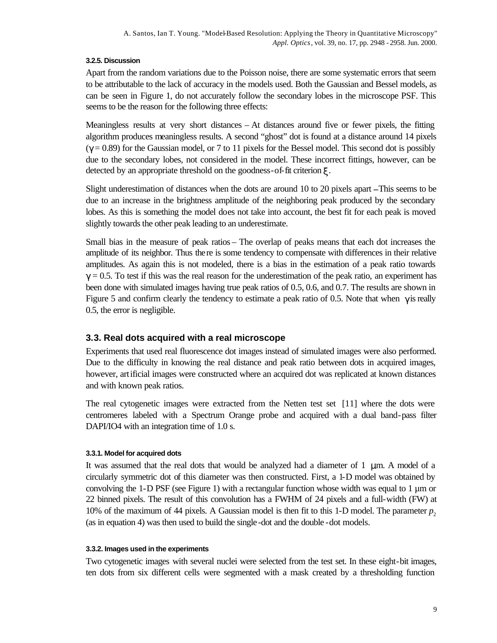### **3.2.5. Discussion**

Apart from the random variations due to the Poisson noise, there are some systematic errors that seem to be attributable to the lack of accuracy in the models used. Both the Gaussian and Bessel models, as can be seen in Figure 1, do not accurately follow the secondary lobes in the microscope PSF. This seems to be the reason for the following three effects:

Meaningless results at very short distances – At distances around five or fewer pixels, the fitting algorithm produces meaningless results. A second "ghost" dot is found at a distance around 14 pixels  $(\gamma = 0.89)$  for the Gaussian model, or 7 to 11 pixels for the Bessel model. This second dot is possibly due to the secondary lobes, not considered in the model. These incorrect fittings, however, can be detected by an appropriate threshold on the goodness-of-fit criterion *x*.

Slight underestimation of distances when the dots are around 10 to 20 pixels apart **–**This seems to be due to an increase in the brightness amplitude of the neighboring peak produced by the secondary lobes. As this is something the model does not take into account, the best fit for each peak is moved slightly towards the other peak leading to an underestimate.

Small bias in the measure of peak ratios – The overlap of peaks means that each dot increases the amplitude of its neighbor. Thus there is some tendency to compensate with differences in their relative amplitudes. As again this is not modeled, there is a bias in the estimation of a peak ratio towards  $g = 0.5$ . To test if this was the real reason for the underestimation of the peak ratio, an experiment has been done with simulated images having true peak ratios of 0.5, 0.6, and 0.7. The results are shown in Figure 5 and confirm clearly the tendency to estimate a peak ratio of 0.5. Note that when  $\gamma$  is really 0.5, the error is negligible.

## **3.3. Real dots acquired with a real microscope**

Experiments that used real fluorescence dot images instead of simulated images were also performed. Due to the difficulty in knowing the real distance and peak ratio between dots in acquired images, however, artificial images were constructed where an acquired dot was replicated at known distances and with known peak ratios.

The real cytogenetic images were extracted from the Netten test set [11] where the dots were centromeres labeled with a Spectrum Orange probe and acquired with a dual band-pass filter DAPI/IO4 with an integration time of 1.0 s.

#### **3.3.1. Model for acquired dots**

It was assumed that the real dots that would be analyzed had a diameter of  $1 \, \mu \text{m}$ . A model of a circularly symmetric dot of this diameter was then constructed. First, a 1-D model was obtained by convolving the 1-D PSF (see Figure 1) with a rectangular function whose width was equal to 1  $\mu$ m or 22 binned pixels. The result of this convolution has a FWHM of 24 pixels and a full-width (FW) at 10% of the maximum of 44 pixels. A Gaussian model is then fit to this 1-D model. The parameter  $p_2$ (as in equation 4) was then used to build the single-dot and the double -dot models.

#### **3.3.2. Images used in the experiments**

Two cytogenetic images with several nuclei were selected from the test set. In these eight-bit images, ten dots from six different cells were segmented with a mask created by a thresholding function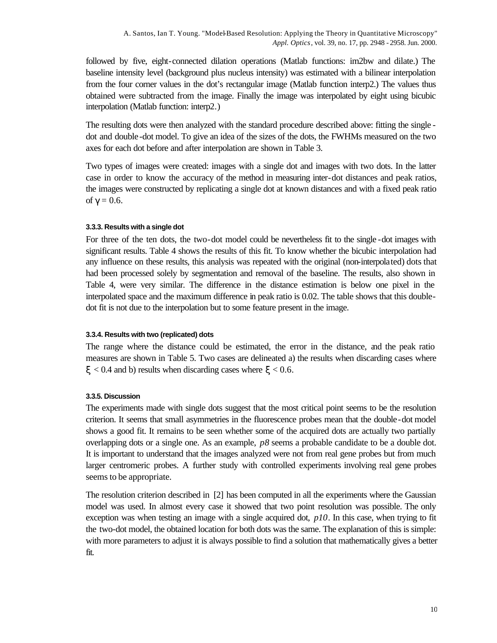followed by five, eight-connected dilation operations (Matlab functions: im2bw and dilate.) The baseline intensity level (background plus nucleus intensity) was estimated with a bilinear interpolation from the four corner values in the dot's rectangular image (Matlab function interp2.) The values thus obtained were subtracted from the image. Finally the image was interpolated by eight using bicubic interpolation (Matlab function: interp2*.*)

The resulting dots were then analyzed with the standard procedure described above: fitting the single dot and double-dot model. To give an idea of the sizes of the dots, the FWHMs measured on the two axes for each dot before and after interpolation are shown in Table 3.

Two types of images were created: images with a single dot and images with two dots. In the latter case in order to know the accuracy of the method in measuring inter-dot distances and peak ratios, the images were constructed by replicating a single dot at known distances and with a fixed peak ratio of  $g = 0.6$ .

#### **3.3.3. Results with a single dot**

For three of the ten dots, the two-dot model could be nevertheless fit to the single -dot images with significant results. Table 4 shows the results of this fit. To know whether the bicubic interpolation had any influence on these results, this analysis was repeated with the original (non-interpolated) dots that had been processed solely by segmentation and removal of the baseline. The results, also shown in Table 4, were very similar. The difference in the distance estimation is below one pixel in the interpolated space and the maximum difference in peak ratio is 0.02. The table shows that this doubledot fit is not due to the interpolation but to some feature present in the image.

#### **3.3.4. Results with two (replicated) dots**

The range where the distance could be estimated, the error in the distance, and the peak ratio measures are shown in Table 5. Two cases are delineated a) the results when discarding cases where  $\xi$  < 0.4 and b) results when discarding cases where  $\xi$  < 0.6.

#### **3.3.5. Discussion**

The experiments made with single dots suggest that the most critical point seems to be the resolution criterion. It seems that small asymmetries in the fluorescence probes mean that the double-dot model shows a good fit. It remains to be seen whether some of the acquired dots are actually two partially overlapping dots or a single one. As an example,  $p\delta$  seems a probable candidate to be a double dot. It is important to understand that the images analyzed were not from real gene probes but from much larger centromeric probes. A further study with controlled experiments involving real gene probes seems to be appropriate.

The resolution criterion described in [2] has been computed in all the experiments where the Gaussian model was used. In almost every case it showed that two point resolution was possible. The only exception was when testing an image with a single acquired dot, *p10*. In this case, when trying to fit the two-dot model, the obtained location for both dots was the same. The explanation of this is simple: with more parameters to adjust it is always possible to find a solution that mathematically gives a better fit.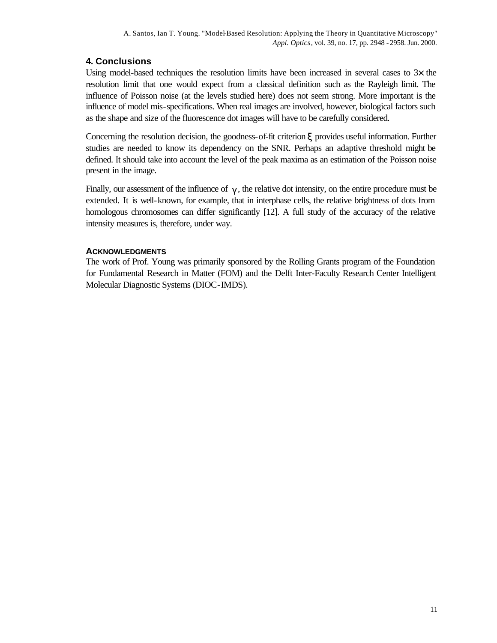# **4. Conclusions**

Using model-based techniques the resolution limits have been increased in several cases to  $3\times$  the resolution limit that one would expect from a classical definition such as the Rayleigh limit. The influence of Poisson noise (at the levels studied here) does not seem strong. More important is the influence of model mis-specifications. When real images are involved, however, biological factors such as the shape and size of the fluorescence dot images will have to be carefully considered.

Concerning the resolution decision, the goodness-of-fit criterion *x* provides useful information. Further studies are needed to know its dependency on the SNR. Perhaps an adaptive threshold might be defined. It should take into account the level of the peak maxima as an estimation of the Poisson noise present in the image.

Finally, our assessment of the influence of  $g$ , the relative dot intensity, on the entire procedure must be extended. It is well-known, for example, that in interphase cells, the relative brightness of dots from homologous chromosomes can differ significantly [12]. A full study of the accuracy of the relative intensity measures is, therefore, under way.

## **ACKNOWLEDGMENTS**

The work of Prof. Young was primarily sponsored by the Rolling Grants program of the Foundation for Fundamental Research in Matter (FOM) and the Delft Inter-Faculty Research Center Intelligent Molecular Diagnostic Systems (DIOC-IMDS).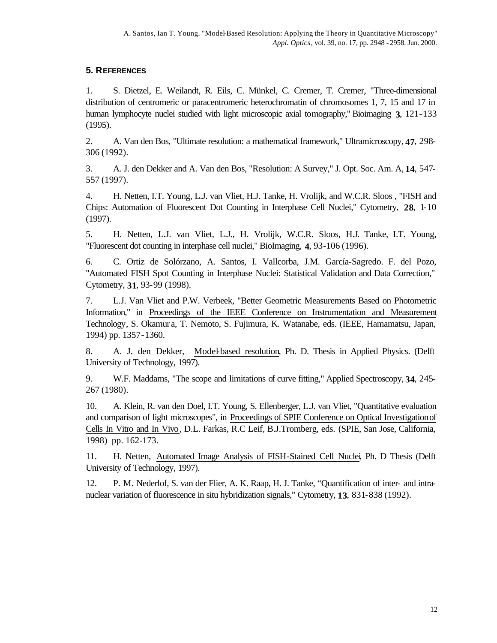## **5. REFERENCES**

1. S. Dietzel, E. Weilandt, R. Eils, C. Münkel, C. Cremer, T. Cremer, "Three-dimensional distribution of centromeric or paracentromeric heterochromatin of chromosomes 1, 7, 15 and 17 in human lymphocyte nuclei studied with light microscopic axial tomography," Bioimaging **3**, 121-133 (1995).

2. A. Van den Bos, "Ultimate resolution: a mathematical framework," Ultramicroscopy, **47**, 298- 306 (1992).

3. A. J. den Dekker and A. Van den Bos, "Resolution: A Survey," J. Opt. Soc. Am. A, **14**, 547- 557 (1997).

4. H. Netten, I.T. Young, L.J. van Vliet, H.J. Tanke, H. Vrolijk, and W.C.R. Sloos , "FISH and Chips: Automation of Fluorescent Dot Counting in Interphase Cell Nuclei," Cytometry, **28**, 1-10 (1997).

5. H. Netten, L.J. van Vliet, L.J., H. Vrolijk, W.C.R. Sloos, H.J. Tanke, I.T. Young, "Fluorescent dot counting in interphase cell nuclei," BioImaging, **4**, 93-106 (1996).

6. C. Ortiz de Solórzano, A. Santos, I. Vallcorba, J.M. García-Sagredo. F. del Pozo, "Automated FISH Spot Counting in Interphase Nuclei: Statistical Validation and Data Correction," Cytometry, **31**, 93-99 (1998).

7. L.J. Van Vliet and P.W. Verbeek, "Better Geometric Measurements Based on Photometric Information," in Proceedings of the IEEE Conference on Instrumentation and Measurement Technology, S. Okamur a, T. Nemoto, S. Fujimura, K. Watanabe, eds. (IEEE, Hamamatsu, Japan, 1994) pp. 1357-1360.

8. A. J. den Dekker, Model-based resolution, Ph. D. Thesis in Applied Physics. (Delft University of Technology, 1997).

9. W.F. Maddams, "The scope and limitations of curve fitting," Applied Spectroscopy, **34**, 245- 267 (1980).

10. A. Klein, R. van den Doel, I.T. Young, S. Ellenberger, L.J. van Vliet, "Quantitative evaluation and comparison of light microscopes", in Proceedings of SPIE Conference on Optical Investigation of Cells In Vitro and In Vivo, D.L. Farkas, R.C Leif, B.J.Tromberg, eds. (SPIE, San Jose, California, 1998) pp. 162-173.

11. H. Netten, Automated Image Analysis of FISH-Stained Cell Nuclei, Ph. D Thesis (Delft University of Technology, 1997).

12. P. M. Nederlof, S. van der Flier, A. K. Raap, H. J. Tanke, "Quantification of inter- and intranuclear variation of fluorescence in situ hybridization signals," Cytometry, **13**, 831-838 (1992).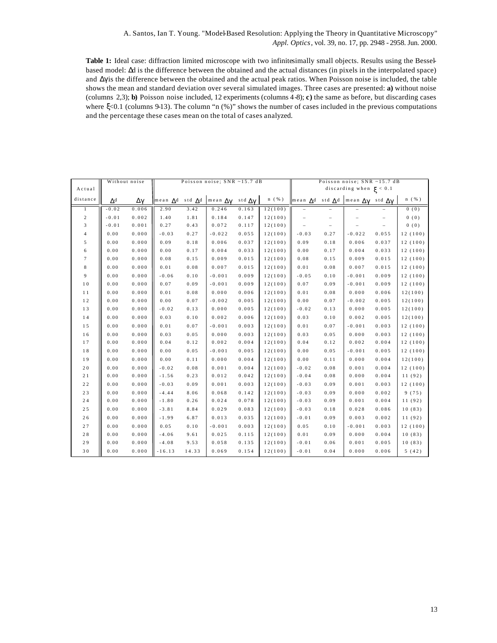**Table 1:** Ideal case: diffraction limited microscope with two infinitesimally small objects. Results using the Besselbased model: Δd is the difference between the obtained and the actual distances (in pixels in the interpolated space) and  $\Delta \gamma$  is the difference between the obtained and the actual peak ratios. When Poisson noise is included, the table shows the mean and standard deviation over several simulated images. Three cases are presented: **a)** without noise (columns 2,3); **b)** Poisson noise included, 12 experiments (columns 4-8); **c)** the same as before, but discarding cases where ξ<0.1 (columns 9-13). The column "n (%)" shows the number of cases included in the previous computations and the percentage these cases mean on the total of cases analyzed.

|                  | Without noise |       | Poisson noise; SNR ~15.7 dB |        |                                |                     |                      | Poisson noise; SNR ~15.7 dB |                             |                                                                               |         |                      |
|------------------|---------------|-------|-----------------------------|--------|--------------------------------|---------------------|----------------------|-----------------------------|-----------------------------|-------------------------------------------------------------------------------|---------|----------------------|
| Actual           |               |       |                             |        |                                |                     |                      |                             | discarding when $\xi$ < 0.1 |                                                                               |         |                      |
| distance         | $\Delta^d$    | Δγ    | mean $\Lambda$ d            |        | std $\Lambda^d$ mean $\Lambda$ | std $\Delta \gamma$ | $n \left( % \right)$ |                             |                             | mean $\Delta$ d std $\Delta$ d   mean $\Delta$ $\gamma$ std $\Delta$ $\gamma$ |         | $n \left( % \right)$ |
| T                | $-0.02$       | 0.006 | 2.90                        | 3.42   | 0.246                          | 0.163               | 12(100)              |                             |                             |                                                                               |         | 0(0)                 |
| $\boldsymbol{2}$ | $-0.01$       | 0.002 | 1.40                        | $1.81$ | 0.184                          | 0.147               | 12(100)              |                             |                             |                                                                               |         | 0(0)                 |
| 3                | $-0.01$       | 0.001 | 0.27                        | $0.43$ | $0.072\,$                      | 0.117               | 12(100)              |                             | $\overline{\phantom{0}}$    |                                                                               |         | 0(0)                 |
| $\overline{4}$   | 0.00          | 0.000 | $-0.03$                     | 0.27   | $-0.022$                       | 0.055               | 12(100)              | $-0.03$                     | 0.27                        | $-0.022$                                                                      | 0.055   | 12(100)              |
| $\mathbf 5$      | 0.00          | 0.000 | 0.09                        | 0.18   | 0.006                          | 0.037               | 12(100)              | 0.09                        | 0.18                        | 0.006                                                                         | 0.037   | 12(100)              |
| $\bf 6$          | 0.00          | 0.000 | 0.00                        | 0.17   | 0.004                          | 0.033               | 12(100)              | 0.00                        | 0.17                        | 0.004                                                                         | 0.033   | 12(100)              |
| 7                | 0.00          | 0.000 | 0.08                        | 0.15   | 0.009                          | 0.015               | 12(100)              | 0.08                        | 0.15                        | 0.009                                                                         | 0.015   | 12(100)              |
| 8                | 0.00          | 0.000 | 0.01                        | 0.08   | 0.007                          | 0.015               | 12(100)              | 0.01                        | 0.08                        | 0.007                                                                         | 0.015   | 12(100)              |
| $\boldsymbol{9}$ | 0.00          | 0.000 | $-0.06$                     | 0.10   | $-0.001$                       | 0.009               | 12(100)              | $-0.05$                     | 0.10                        | $-0.001$                                                                      | 0.009   | 12(100)              |
| 10               | 0.00          | 0.000 | 0.07                        | 0.09   | $-0.001$                       | 0.009               | 12(100)              | 0.07                        | 0.09                        | $-0.001$                                                                      | 0.009   | 12(100)              |
| 11               | 0.00          | 0.000 | $0.01$                      | 0.08   | 0.000                          | 0.006               | 12(100)              | $0.01$                      | 0.08                        | 0.000                                                                         | 0.006   | 12(100)              |
| 12               | 0.00          | 0.000 | 0.00                        | 0.07   | $-0.002$                       | 0.005               | 12(100)              | 0.00                        | 0.07                        | $-0.002$                                                                      | 0.005   | 12(100)              |
| 13               | 0.00          | 0.000 | $-0.02$                     | 0.13   | 0.000                          | 0.005               | 12(100)              | $-0.02$                     | 0.13                        | 0.000                                                                         | 0.005   | 12(100)              |
| 14               | 0.00          | 0.000 | 0.03                        | $0.10$ | 0.002                          | 0.006               | 12(100)              | 0.03                        | 0.10                        | 0.002                                                                         | 0.005   | 12(100)              |
| 15               | 0.00          | 0.000 | 0.01                        | 0.07   | $-0.001$                       | 0.003               | 12(100)              | $0.01$                      | 0.07                        | $-0.001$                                                                      | 0.003   | 12(100)              |
| $1\;6$           | 0.00          | 0.000 | 0.03                        | 0.05   | 0.000                          | 0.003               | 12(100)              | 0.03                        | $0.05\,$                    | 0.000                                                                         | 0.003   | 12(100)              |
| 17               | 0.00          | 0.000 | 0.04                        | 0.12   | 0.002                          | 0.004               | 12(100)              | $0.04$                      | 0.12                        | 0.002                                                                         | 0.004   | 12(100)              |
| 18               | 0.00          | 0.000 | 0.00                        | 0.05   | $-0.001$                       | 0.005               | 12(100)              | 0.00                        | 0.05                        | $-0.001$                                                                      | 0.005   | 12(100)              |
| 19               | 0.00          | 0.000 | 0.00                        | 0.11   | 0.000                          | 0.004               | 12(100)              | 0.00                        | 0.11                        | 0.000                                                                         | 0.004   | 12(100)              |
| $2\ 0$           | 0.00          | 0.000 | $-0.02$                     | $0.08$ | 0.001                          | $0.004$             | 12(100)              | $-0.02$                     | $0.08$                      | 0.001                                                                         | 0.004   | 12(100)              |
| $2\,1$           | 0.00          | 0.000 | $-1.56$                     | 0.23   | 0.012                          | 0.042               | 12(100)              | $-0.04$                     | 0.08                        | 0.000                                                                         | 0.004   | 11(92)               |
| $2\ 2$           | 0.00          | 0.000 | $-0.03$                     | 0.09   | 0.001                          | 0.003               | 12(100)              | $-0.03$                     | 0.09                        | 0.001                                                                         | 0.003   | 12(100)              |
| $2\;3$           | 0.00          | 0.000 | $-4.44$                     | 8.06   | 0.068                          | 0.142               | 12(100)              | $-0.03$                     | 0.09                        | 0.000                                                                         | 0.002   | 9(75)                |
| $2\;4$           | 0.00          | 0.000 | $\sim 1$ . 8 0              | 0.26   | 0.024                          | 0.078               | 12(100)              | $-0.03$                     | 0.09                        | 0.001                                                                         | 0.004   | 11 (92)              |
| $2\,$ $5\,$      | 0.00          | 0.000 | $-3.81$                     | 8.84   | 0.029                          | 0.083               | 12(100)              | $-0.03$                     | 0.18                        | 0.028                                                                         | $0.086$ | 10(83)               |
| $2\ 6$           | 0.00          | 0.000 | $-1.99$                     | 6.87   | 0.013                          | 0.035               | 12(100)              | $-0.01$                     | 0.09                        | 0.003                                                                         | $0.002$ | 11(92)               |
| $2\ 7$           | 0.00          | 0.000 | $0.05$                      | $0.10$ | $-0.001$                       | 0.003               | 12(100)              | $0.05$                      | 0.10                        | $-0.001$                                                                      | 0.003   | 12(100)              |
| $2\;8$           | 0.00          | 0.000 | $-4.06$                     | 9.61   | 0.025                          | 0.115               | 12(100)              | $0.01$                      | 0.09                        | 0.000                                                                         | 0.004   | 10(83)               |
| $2\;9$           | 0.00          | 0.000 | $-4.08$                     | 9.53   | 0.058                          | 0.135               | 12(100)              | $-0.01$                     | 0.06                        | 0.001                                                                         | 0.005   | 10(83)               |
| $3\;0$           | 0.00          | 0.000 | $-16.13$                    | 14.33  | 0.069                          | 0.154               | 12(100)              | $-0.01$                     | $0.04\,$                    | 0.000                                                                         | 0.006   | 5(42)                |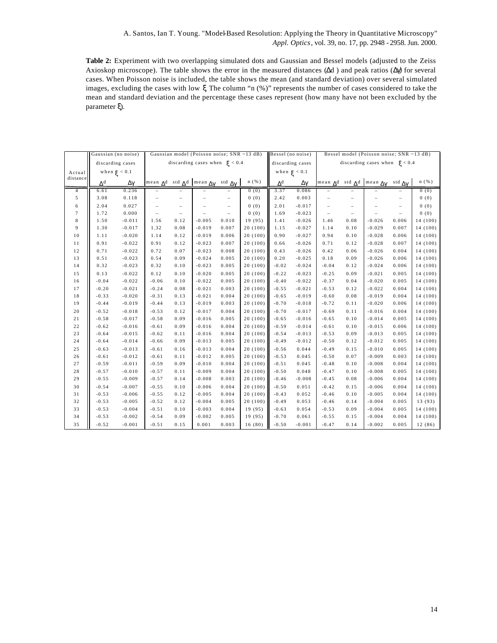**Table 2:** Experiment with two overlapping simulated dots and Gaussian and Bessel models (adjusted to the Zeiss Axioskop microscope). The table shows the error in the measured distances  $(\Delta d)$  and peak ratios  $(\Delta \gamma)$  for several cases. When Poisson noise is included, the table shows the mean (and standard deviation) over several simulated images, excluding the cases with low ξ. The column "n (%)" represents the number of cases considered to take the mean and standard deviation and the percentage these cases represent (how many have not been excluded by the parameter ξ).

|                          | Gaussian (no noise)   |                  | Gaussian model (Poisson noise; SNR ~13 dB) |           |                                                                       |                          |          | Bessel model (Poisson noise; SNR ~13 dB)<br>Bessel (no noise) |          |                                   |                          |                                                    |                    |          |
|--------------------------|-----------------------|------------------|--------------------------------------------|-----------|-----------------------------------------------------------------------|--------------------------|----------|---------------------------------------------------------------|----------|-----------------------------------|--------------------------|----------------------------------------------------|--------------------|----------|
|                          |                       | discarding cases | discarding cases when $\xi$ < 0.4          |           |                                                                       |                          |          | discarding cases                                              |          | discarding cases when $\xi$ < 0.4 |                          |                                                    |                    |          |
| Actual                   |                       | when $\xi$ < 0.1 |                                            |           |                                                                       |                          |          | when $\xi$ < 0.1                                              |          |                                   |                          |                                                    |                    |          |
| distance                 |                       |                  |                                            |           |                                                                       |                          |          |                                                               |          |                                   |                          |                                                    |                    |          |
|                          | $\Delta^{\mathbf{d}}$ | Δγ               |                                            |           | mean $\Delta^d$ std $\Delta^d$ mean $\Delta\gamma$ std $\Delta\gamma$ |                          | n(%)     | $\Delta^d$                                                    | Δγ       |                                   |                          | mean $\Delta^d$ std $\Delta^d$ mean $\Delta\gamma$ | std $\Delta\gamma$ | n(%)     |
| $\overline{4}$           | 6.61                  | 0.236            |                                            |           |                                                                       |                          | 0(0)     | 3.37                                                          | 0.086    |                                   |                          |                                                    |                    | 0(0)     |
| $\sqrt{5}$               | 3.08                  | 0.118            |                                            |           |                                                                       | $\overline{\phantom{a}}$ | 0(0)     | 2.42                                                          | 0.003    |                                   |                          |                                                    |                    | 0(0)     |
| 6                        | 2.04                  | 0.027            |                                            |           |                                                                       | $\qquad \qquad -$        | 0(0)     | $2.01$                                                        | $-0.017$ |                                   | $\overline{\phantom{0}}$ |                                                    |                    | 0(0)     |
| $\overline{\phantom{a}}$ | 1.72                  | 0.000            | $\qquad \qquad -$                          | $\bar{ }$ |                                                                       | $\overline{\phantom{a}}$ | 0(0)     | 1.69                                                          | $-0.023$ | $\overline{\phantom{a}}$          | $\overline{\phantom{0}}$ |                                                    | $\bar{ }$          | 0(0)     |
| $\bf8$                   | 1.50                  | $-0.011$         | 1.56                                       | 0.12      | $-0.005$                                                              | 0.010                    | 19 (95)  | 1.41                                                          | $-0.026$ | 1.46                              | 0.08                     | $-0.026$                                           | 0.006              | 14 (100) |
| 9                        | 1.30                  | $-0.017$         | 1.32                                       | 0.08      | $-0.019$                                                              | 0.007                    | 20(100)  | 1.15                                                          | $-0.027$ | 1.14                              | 0.10                     | $-0.029$                                           | 0.007              | 14 (100) |
| 10                       | 1.11                  | $-0.020$         | 1.14                                       | 0.12      | $-0.019$                                                              | 0.006                    | 20(100)  | 0.90                                                          | $-0.027$ | 0.94                              | 0.10                     | $-0.028$                                           | 0.006              | 14 (100) |
| 11                       | 0.91                  | $-0.022$         | 0.91                                       | 0.12      | $-0.023$                                                              | 0.007                    | 20(100)  | 0.66                                                          | $-0.026$ | 0.71                              | 0.12                     | $-0.028$                                           | 0.007              | 14 (100) |
| $1\,2$                   | 0.71                  | $-0.022$         | 0.72                                       | 0.07      | $-0.023$                                                              | 0.008                    | 20 (100) | 0.43                                                          | $-0.026$ | 0.42                              | 0.06                     | $-0.026$                                           | 0.004              | 14 (100) |
| 13                       | 0.51                  | $-0.023$         | $0\,.\,5\,4$                               | 0.09      | $-0.024$                                                              | 0.005                    | 20(100)  | 0.20                                                          | $-0.025$ | 0.18                              | 0.09                     | $-0.026$                                           | 0.006              | 14 (100) |
| 14                       | 0.32                  | $-0.023$         | 0.32                                       | 0.10      | $-0.023$                                                              | 0.005                    | 20(100)  | $-0.02$                                                       | $-0.024$ | $-0.04$                           | 0.12                     | $-0.024$                                           | 0.006              | 14 (100) |
| 15                       | 0.13                  | $-0.022$         | 0.12                                       | 0.10      | $-0.020$                                                              | 0.005                    | 20(100)  | $-0.22$                                                       | $-0.023$ | $-0.25$                           | 0.09                     | $-0.021$                                           | 0.005              | 14 (100) |
| $16\,$                   | $-0.04$               | $-0.022$         | $-0.06$                                    | 0.10      | $-0.022$                                                              | 0.005                    | 20(100)  | $-0.40$                                                       | $-0.022$ | $-0.37$                           | 0.04                     | $-0.020$                                           | 0.005              | 14 (100) |
| 17                       | $-0.20$               | $-0.021$         | $-0.24$                                    | 0.08      | $-0.021$                                                              | 0.003                    | 20(100)  | $-0.55$                                                       | $-0.021$ | $-0.53$                           | 0.12                     | $-0.022$                                           | 0.004              | 14 (100) |
| 18                       | $-0.33$               | $-0.020$         | $-0.31$                                    | 0.13      | $-0.021$                                                              | 0.004                    | 20(100)  | $-0.65$                                                       | $-0.019$ | $-0.60$                           | 0.08                     | $-0.019$                                           | 0.004              | 14 (100) |
| 19                       | $-0.44$               | $-0.019$         | $-0.44$                                    | 0.13      | $-0.019$                                                              | 0.003                    | 20(100)  | $-0.70$                                                       | $-0.018$ | $-0.72$                           | 0.11                     | $-0.020$                                           | 0.006              | 14 (100) |
| 20                       | $-0.52$               | $-0.018$         | $-0.53$                                    | 0.12      | $-0.017$                                                              | 0.004                    | 20(100)  | $-0.70$                                                       | $-0.017$ | $-0.69$                           | 0.11                     | $-0.016$                                           | 0.004              | 14 (100) |
| 21                       | $-0.58$               | $-0.017$         | $-0.58$                                    | 0.09      | $-0.016$                                                              | 0.005                    | 20(100)  | $-0.65$                                                       | $-0.016$ | $-0.65$                           | 0.10                     | $-0.014$                                           | 0.005              | 14 (100) |
| $2\,2$                   | $-0.62$               | $-0.016$         | $-0.61$                                    | 0.09      | $-0.016$                                                              | 0.004                    | 20 (100) | $-0.59$                                                       | $-0.014$ | $-0.61$                           | 0.10                     | $-0.015$                                           | 0.006              | 14 (100) |
| $2\sqrt{3}$              | $-0.64$               | $-0.015$         | $-0.62$                                    | 0.11      | $-0.016$                                                              | 0.004                    | 20(100)  | $-0.54$                                                       | $-0.013$ | $-0.53$                           | 0.09                     | $-0.013$                                           | 0.005              | 14 (100) |
| $2\,4$                   | $-0.64$               | $-0.014$         | $-0.66$                                    | 0.09      | $-0.013$                                                              | 0.005                    | 20(100)  | $-0.49$                                                       | $-0.012$ | $-0.50$                           | 0.12                     | $-0.012$                                           | 0.005              | 14 (100) |
| $2\,5$                   | $-0.63$               | $-0.013$         | $-0.61$                                    | 0.16      | $-0.013$                                                              | 0.004                    | 20 (100) | $-0.56$                                                       | 0.044    | $-0.49$                           | 0.15                     | $-0.010$                                           | 0.005              | 14 (100) |
| $2\,6\,$                 | $-0.61$               | $-0.012$         | $-0.61$                                    | 0.11      | $-0.012$                                                              | 0.005                    | 20(100)  | $-0.53$                                                       | 0.045    | $-0.50$                           | 0.07                     | $-0.009$                                           | 0.003              | 14 (100) |
| 27                       | $-0.59$               | $-0.011$         | $-0.59$                                    | 0.09      | $-0.010$                                                              | 0.004                    | 20(100)  | $-0.51$                                                       | 0.045    | $-0.48$                           | 0.10                     | $-0.008$                                           | 0.004              | 14 (100) |
| $2\,8$                   | $-0.57$               | $-0.010$         | $-0.57$                                    | 0.11      | $-0.009$                                                              | 0.004                    | 20(100)  | $-0.50$                                                       | 0.048    | $-0.47$                           | 0.10                     | $-0.008$                                           | 0.005              | 14 (100) |
| $2\,9$                   | $-0.55$               | $-0.009$         | $-0.57$                                    | 0.14      | $-0.008$                                                              | 0.003                    | 20(100)  | $-0.46$                                                       | $-0.008$ | $-0.45$                           | 0.08                     | $-0.006$                                           | 0.004              | 14 (100) |
| 30                       | $-0.54$               | $-0.007$         | $-0.55$                                    | 0.10      | $-0.006$                                                              | 0.004                    | 20 (100) | $-0.50$                                                       | 0.051    | $-0.42$                           | 0.15                     | $-0.006$                                           | 0.004              | 14 (100) |
| $3\,1$                   | $-0.53$               | $-0.006$         | $-0.55$                                    | 0.12      | $-0.005$                                                              | 0.004                    | 20(100)  | $-0.43$                                                       | 0.052    | $-0.46$                           | 0.10                     | $-0.005$                                           | 0.004              | 14 (100) |
| $3\,2$                   | $-0.53$               | $-0.005$         | $-0.52$                                    | 0.12      | $-0.004$                                                              | 0.005                    | 20(100)  | $-0.49$                                                       | 0.053    | $-0.46$                           | 0.14                     | $-0.004$                                           | 0.005              | 13 (93)  |
| 33                       | $-0.53$               | $-0.004$         | $-0.51$                                    | 0.10      | $-0.003$                                                              | 0.004                    | 19 (95)  | $-0.63$                                                       | 0.054    | $-0.53$                           | 0.09                     | $-0.004$                                           | 0.005              | 14 (100) |
| $3\,4$                   | $-0.53$               | $-0.002$         | $-0.54$                                    | 0.09      | $-0.002$                                                              | 0.005                    | 19 (95)  | $-0.70$                                                       | 0.061    | $-0.55$                           | 0.15                     | $-0.004$                                           | 0.004              | 14 (100) |
| 35                       | $-0.52$               | $-0.001$         | $-0.51$                                    | 0.15      | 0.001                                                                 | 0.003                    | 16(80)   | $-0.50$                                                       | $-0.001$ | $-0.47$                           | 0.14                     | $-0.002$                                           | 0.005              | 12 (86)  |
|                          |                       |                  |                                            |           |                                                                       |                          |          |                                                               |          |                                   |                          |                                                    |                    |          |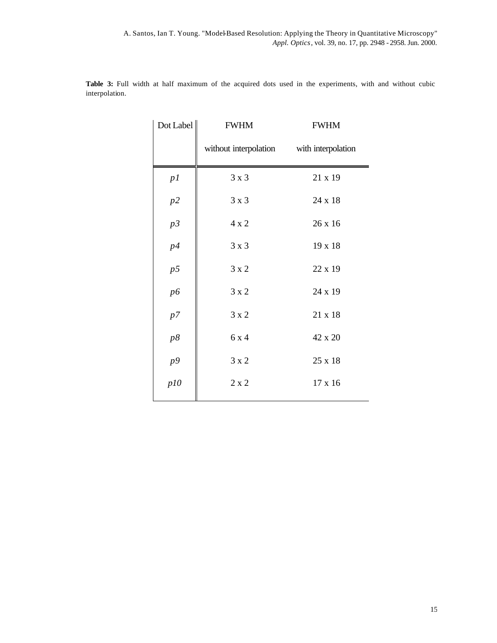| Dot Label | <b>FWHM</b>                              | <b>FWHM</b> |
|-----------|------------------------------------------|-------------|
|           | without interpolation with interpolation |             |
| p1        | 3x3                                      | 21 x 19     |
| $p2\,$    | 3x3                                      | 24 x 18     |
| p3        | 4x2                                      | 26 x 16     |
| p4        | 3x3                                      | 19 x 18     |
| p5        | 3x2                                      | 22 x 19     |
| p6        | 3x2                                      | 24 x 19     |
| p7        | 3x2                                      | 21 x 18     |
| p8        | 6 x 4                                    | 42 x 20     |
| p9        | $3 \times 2$                             | 25 x 18     |
| p10       | $2\ge 2$                                 | 17 x 16     |

**Table 3:** Full width at half maximum of the acquired dots used in the experiments, with and without cubic interpolation.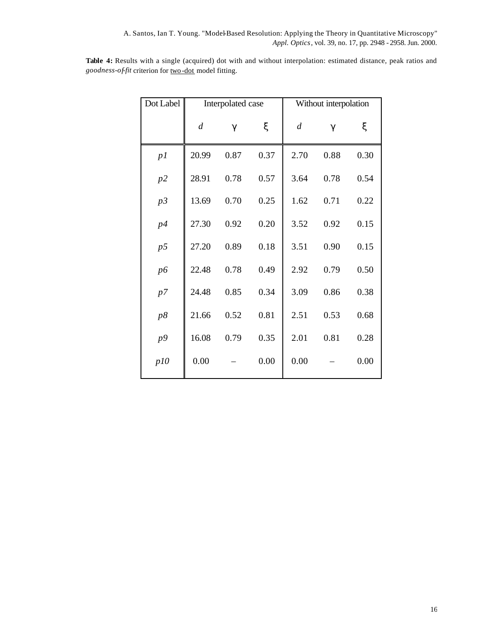**Table 4:** Results with a single (acquired) dot with and without interpolation: estimated distance, peak ratios and *goodness-of-fit* criterion for two -dot model fitting.

| Dot Label      |                  |                  | Without interpolation<br>Interpolated case |                  |      |      |  |
|----------------|------------------|------------------|--------------------------------------------|------------------|------|------|--|
|                | $\boldsymbol{d}$ | $\boldsymbol{g}$ | ξ                                          | $\boldsymbol{d}$ | g    | ξ    |  |
| p1             | 20.99            | 0.87             | 0.37                                       | 2.70             | 0.88 | 0.30 |  |
| p2             | 28.91            | 0.78             | 0.57                                       | 3.64             | 0.78 | 0.54 |  |
| p3             | 13.69            | 0.70             | 0.25                                       | 1.62             | 0.71 | 0.22 |  |
| p4             | 27.30            | 0.92             | 0.20                                       | 3.52             | 0.92 | 0.15 |  |
| p <sub>5</sub> | 27.20            | 0.89             | 0.18                                       | 3.51             | 0.90 | 0.15 |  |
| $p6$           | 22.48            | 0.78             | 0.49                                       | 2.92             | 0.79 | 0.50 |  |
| p7             | 24.48            | 0.85             | 0.34                                       | 3.09             | 0.86 | 0.38 |  |
| p8             | 21.66            | 0.52             | 0.81                                       | 2.51             | 0.53 | 0.68 |  |
| p9             | 16.08            | 0.79             | 0.35                                       | 2.01             | 0.81 | 0.28 |  |
| p10            | 0.00             |                  | 0.00                                       | 0.00             |      | 0.00 |  |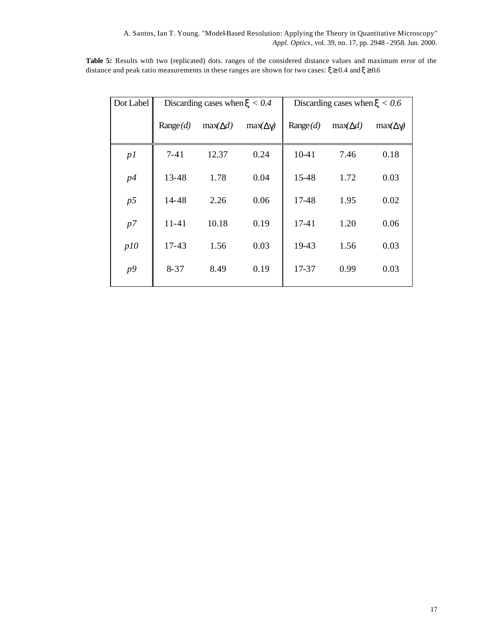**Table 5:** Results with two (replicated) dots. ranges of the considered distance values and maximum error of the distance and peak ratio measurements in these ranges are shown for two cases:  $\xi \ge 0.4$  and  $\xi \ge 0.6$ 

| Dot Label      |           | Discarding cases when $x < 0.4$ |         | Discarding cases when $x < 0.6$ |                    |                    |  |  |
|----------------|-----------|---------------------------------|---------|---------------------------------|--------------------|--------------------|--|--|
|                | Range(d)  | $max(\mathbf{D}d)$              | max(Dg) | Range(d)                        | $max(\mathbf{D}d)$ | $max(\mathbf{Dg})$ |  |  |
| p1             | $7 - 41$  | 12.37                           | 0.24    | $10-41$                         | 7.46               | 0.18               |  |  |
| p4             | 13-48     | 1.78                            | 0.04    | 15-48                           | 1.72               | 0.03               |  |  |
| p <sub>5</sub> | 14-48     | 2.26                            | 0.06    | 17-48                           | 1.95               | 0.02               |  |  |
| p7             | $11 - 41$ | 10.18                           | 0.19    | 17-41                           | 1.20               | 0.06               |  |  |
| p10            | 17-43     | 1.56                            | 0.03    | 19-43                           | 1.56               | 0.03               |  |  |
| p9             | $8 - 37$  | 8.49                            | 0.19    | 17-37                           | 0.99               | 0.03               |  |  |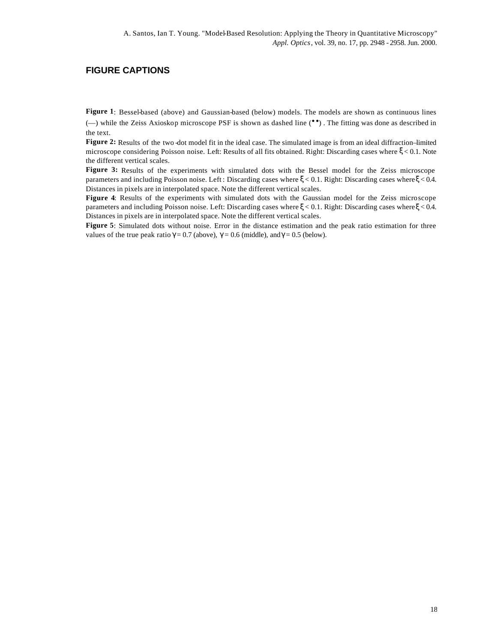### **FIGURE CAPTIONS**

**Figure 1**: Bessel-based (above) and Gaussian-based (below) models. The models are shown as continuous lines (—) while the Zeiss Axioskop microscope PSF is shown as dashed line (••) . The fitting was done as described in

the text.

Figure 2: Results of the two -dot model fit in the ideal case. The simulated image is from an ideal diffraction–limited microscope considering Poisson noise. Left: Results of all fits obtained. Right: Discarding cases where ξ < 0.1. Note the different vertical scales.

**Figure 3:** Results of the experiments with simulated dots with the Bessel model for the Zeiss microscope parameters and including Poisson noise. Left : Discarding cases where ξ < 0.1. Right: Discarding cases where ξ < 0.4. Distances in pixels are in interpolated space. Note the different vertical scales.

**Figure 4**: Results of the experiments with simulated dots with the Gaussian model for the Zeiss microscope parameters and including Poisson noise. Left: Discarding cases where ξ < 0.1. Right: Discarding cases where ξ < 0.4. Distances in pixels are in interpolated space. Note the different vertical scales.

**Figure 5**: Simulated dots without noise. Error in the distance estimation and the peak ratio estimation for three values of the true peak ratio  $\gamma = 0.7$  (above),  $\gamma = 0.6$  (middle), and  $\gamma = 0.5$  (below).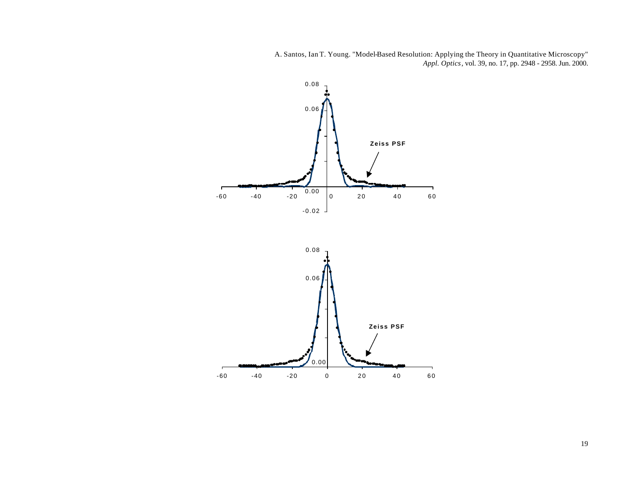

19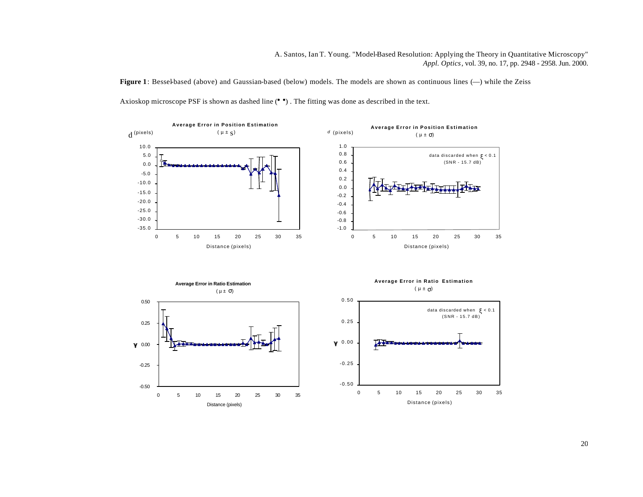**Figure 1**: Bessel-based (above) and Gaussian-based (below) models. The models are shown as continuous lines (—) while the Zeiss Axioskop microscope PSF is shown as dashed line ( $\bullet$ ). The fitting was done as described in the text.



20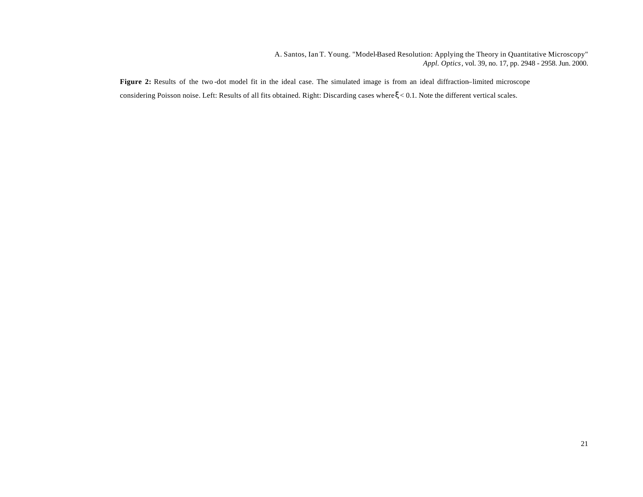**Figure 2:** Results of the two -dot model fit in the ideal case. The simulated image is from an ideal diffraction–limited microscope considering Poisson noise. Left: Results of all fits obtained. Right: Discarding cases where ξ < 0.1. Note the different vertical scales.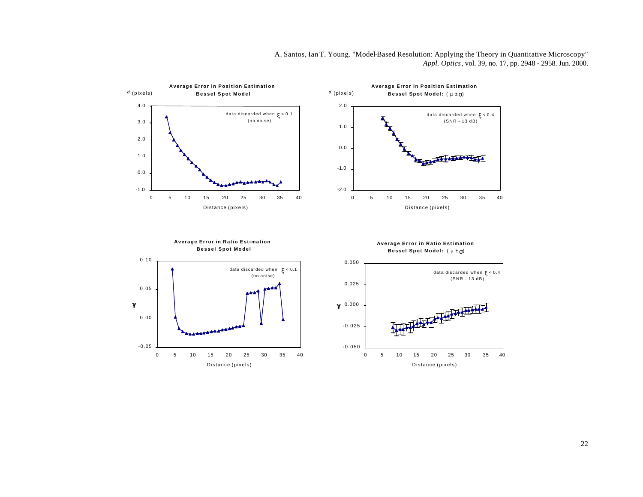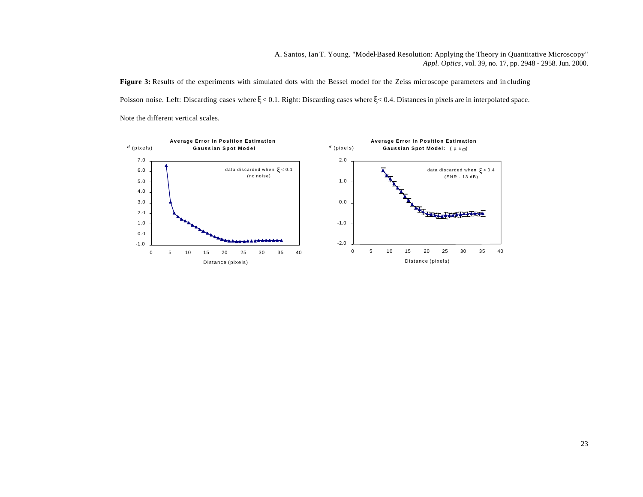Figure 3: Results of the experiments with simulated dots with the Bessel model for the Zeiss microscope parameters and in cluding Poisson noise. Left: Discarding cases where ξ < 0.1. Right: Discarding cases where ξ < 0.4. Distances in pixels are in interpolated space. Note the different vertical scales.

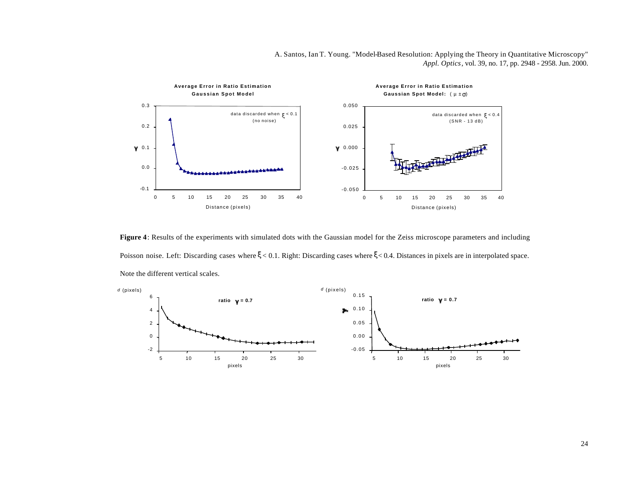

**Figure 4**: Results of the experiments with simulated dots with the Gaussian model for the Zeiss microscope parameters and including Poisson noise. Left: Discarding cases where ξ < 0.1. Right: Discarding cases where ξ < 0.4. Distances in pixels are in interpolated space. Note the different vertical scales.



24